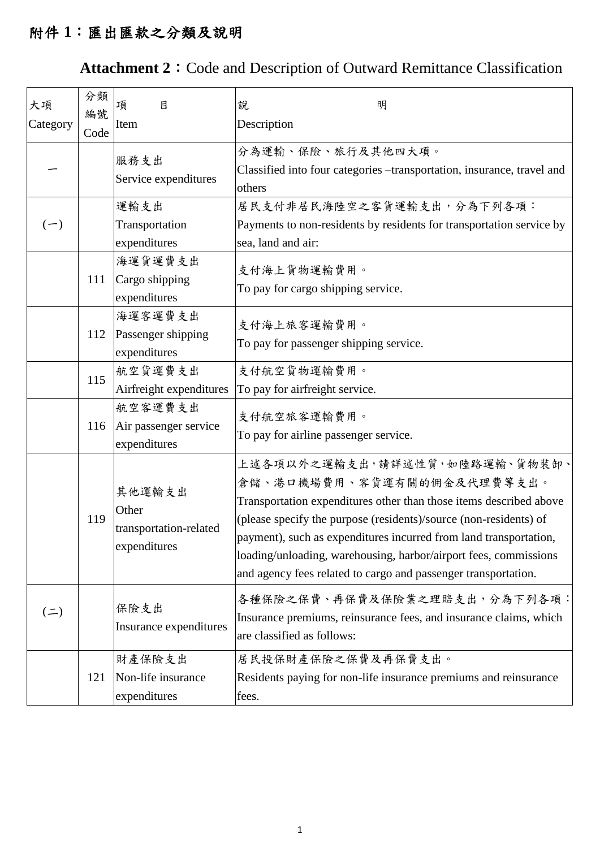## 附件 **1**:匯出匯款之分類及說明

## Attachment 2: Code and Description of Outward Remittance Classification

| 大項<br>Category | 分類<br>編號<br>Code | 目<br>項<br>Item                                            | 明<br>說<br>Description                                                                                                                                                                                                                                                                                                                                                                                             |
|----------------|------------------|-----------------------------------------------------------|-------------------------------------------------------------------------------------------------------------------------------------------------------------------------------------------------------------------------------------------------------------------------------------------------------------------------------------------------------------------------------------------------------------------|
|                |                  | 服務支出<br>Service expenditures                              | 分為運輸、保險、旅行及其他四大項。<br>Classified into four categories -transportation, insurance, travel and<br>others                                                                                                                                                                                                                                                                                                             |
| $(-)$          |                  | 運輸支出<br>Transportation<br>expenditures                    | 居民支付非居民海陸空之客貨運輸支出,分為下列各項:<br>Payments to non-residents by residents for transportation service by<br>sea, land and air:                                                                                                                                                                                                                                                                                           |
|                | 111              | 海運貨運費支出<br>Cargo shipping<br>expenditures                 | 支付海上貨物運輸費用。<br>To pay for cargo shipping service.                                                                                                                                                                                                                                                                                                                                                                 |
|                | 112              | 海運客運費支出<br>Passenger shipping<br>expenditures             | 支付海上旅客運輸費用。<br>To pay for passenger shipping service.                                                                                                                                                                                                                                                                                                                                                             |
|                | 115              | 航空貨運費支出<br>Airfreight expenditures                        | 支付航空貨物運輸費用。<br>To pay for airfreight service.                                                                                                                                                                                                                                                                                                                                                                     |
|                | 116              | 航空客運費支出<br>Air passenger service<br>expenditures          | 支付航空旅客運輸費用。<br>To pay for airline passenger service.                                                                                                                                                                                                                                                                                                                                                              |
|                | 119              | 其他運輸支出<br>Other<br>transportation-related<br>expenditures | 上述各項以外之運輸支出,請詳述性質,如陸路運輸、貨物裝卸、<br>倉儲、港口機場費用、客貨運有關的佣金及代理費等支出。<br>Transportation expenditures other than those items described above<br>(please specify the purpose (residents)/source (non-residents) of<br>payment), such as expenditures incurred from land transportation,<br>loading/unloading, warehousing, harbor/airport fees, commissions<br>and agency fees related to cargo and passenger transportation. |
| $($ = $)$      |                  | 保險支出<br>Insurance expenditures                            | 各種保險之保費、再保費及保險業之理賠支出,分為下列各項:<br>Insurance premiums, reinsurance fees, and insurance claims, which<br>are classified as follows:                                                                                                                                                                                                                                                                                   |
|                | 121              | 財產保險支出<br>Non-life insurance<br>expenditures              | 居民投保財產保險之保費及再保費支出。<br>Residents paying for non-life insurance premiums and reinsurance<br>fees.                                                                                                                                                                                                                                                                                                                   |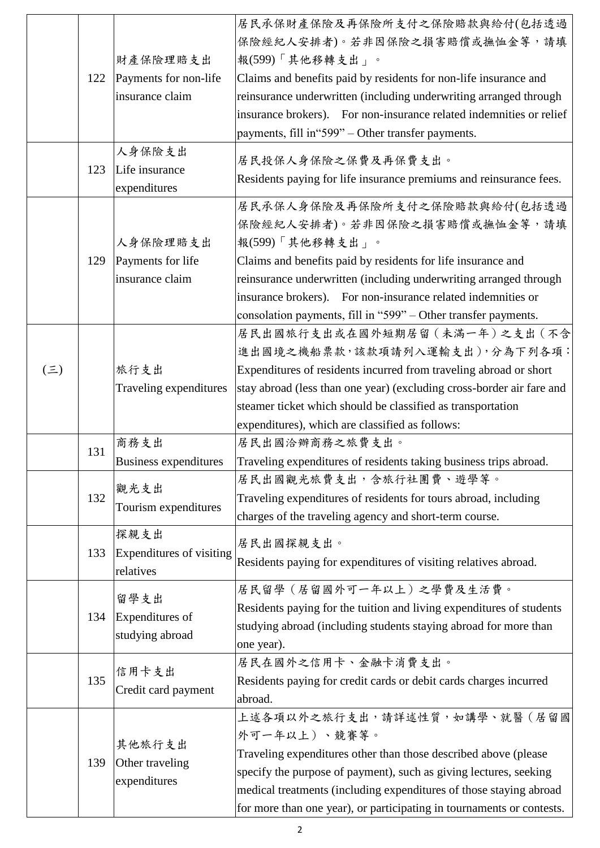|            |     |                           | 居民承保財產保險及再保險所支付之保險賠款與給付(包括透過                                          |
|------------|-----|---------------------------|-----------------------------------------------------------------------|
|            |     |                           | 保險經紀人安排者)。若非因保險之損害賠償或撫恤金等,請填                                          |
|            |     | 財產保險理賠支出                  | 報(599)「其他移轉支出」。                                                       |
|            | 122 | Payments for non-life     | Claims and benefits paid by residents for non-life insurance and      |
|            |     | insurance claim           | reinsurance underwritten (including underwriting arranged through     |
|            |     |                           | insurance brokers). For non-insurance related indemnities or relief   |
|            |     |                           | payments, fill in "599" – Other transfer payments.                    |
|            |     | 人身保險支出                    | 居民投保人身保險之保費及再保費支出。                                                    |
|            | 123 | Life insurance            | Residents paying for life insurance premiums and reinsurance fees.    |
|            |     | expenditures              |                                                                       |
|            |     |                           | 居民承保人身保險及再保險所支付之保險賠款與給付(包括透過                                          |
|            |     |                           | 保險經紀人安排者)。若非因保險之損害賠償或撫恤金等,請填                                          |
|            |     | 人身保險理賠支出                  | 報(599)「其他移轉支出」。                                                       |
|            | 129 | Payments for life         | Claims and benefits paid by residents for life insurance and          |
|            |     | insurance claim           | reinsurance underwritten (including underwriting arranged through     |
|            |     |                           | insurance brokers). For non-insurance related indemnities or          |
|            |     |                           | consolation payments, fill in "599" – Other transfer payments.        |
|            |     |                           | 居民出國旅行支出或在國外短期居留 (未滿一年)之支出 (不含                                        |
|            |     |                           | 進出國境之機船票款,該款項請列入運輸支出),分為下列各項:                                         |
| $(\equiv)$ |     | 旅行支出                      | Expenditures of residents incurred from traveling abroad or short     |
|            |     | Traveling expenditures    | stay abroad (less than one year) (excluding cross-border air fare and |
|            |     |                           | steamer ticket which should be classified as transportation           |
|            |     |                           | expenditures), which are classified as follows:                       |
|            | 131 | 商務支出                      | 居民出國洽辦商務之旅費支出。                                                        |
|            |     | Business expenditures     | Traveling expenditures of residents taking business trips abroad.     |
|            |     | 觀光支出                      | 居民出國觀光旅費支出,含旅行社團費、遊學等。                                                |
|            | 132 | Tourism expenditures      | Traveling expenditures of residents for tours abroad, including       |
|            |     |                           | charges of the traveling agency and short-term course.                |
|            |     | 探親支出                      | 居民出國探親支出。                                                             |
|            | 133 | Expenditures of visiting  | Residents paying for expenditures of visiting relatives abroad.       |
|            |     | relatives                 |                                                                       |
|            |     | 留學支出                      | 居民留學 (居留國外可一年以上) 之學費及生活費。                                             |
|            | 134 | Expenditures of           | Residents paying for the tuition and living expenditures of students  |
|            |     | studying abroad           | studying abroad (including students staying abroad for more than      |
|            |     |                           | one year).                                                            |
|            |     | 信用卡支出                     | 居民在國外之信用卡、金融卡消費支出。                                                    |
|            | 135 | Credit card payment       | Residents paying for credit cards or debit cards charges incurred     |
|            |     |                           | abroad.                                                               |
|            |     |                           | 上述各項以外之旅行支出,請詳述性質,如講學、就醫 (居留國                                         |
|            |     | 其他旅行支出<br>Other traveling | 外可一年以上)、競賽等。                                                          |
|            | 139 |                           | Traveling expenditures other than those described above (please       |
|            |     |                           | specify the purpose of payment), such as giving lectures, seeking     |
|            |     | expenditures              | medical treatments (including expenditures of those staying abroad    |
|            |     |                           | for more than one year), or participating in tournaments or contests. |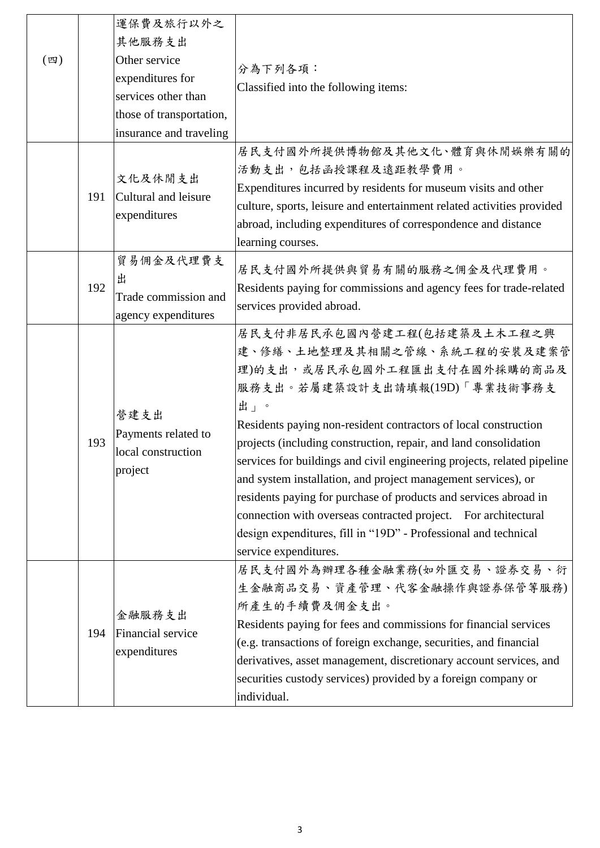| $(\mathbb{Z})$ |     | 運保費及旅行以外之<br>其他服務支出<br>Other service<br>expenditures for<br>services other than<br>those of transportation,<br>insurance and traveling | 分為下列各項:<br>Classified into the following items:                                                                                                                                                                                                                                                                                                                                                                                                                                                                                                                                                                                                          |
|----------------|-----|----------------------------------------------------------------------------------------------------------------------------------------|----------------------------------------------------------------------------------------------------------------------------------------------------------------------------------------------------------------------------------------------------------------------------------------------------------------------------------------------------------------------------------------------------------------------------------------------------------------------------------------------------------------------------------------------------------------------------------------------------------------------------------------------------------|
|                | 191 | 文化及休閒支出<br>Cultural and leisure<br>expenditures                                                                                        | 居民支付國外所提供博物館及其他文化、體育與休閒娛樂有關的<br>活動支出,包括函授課程及遠距教學費用。<br>Expenditures incurred by residents for museum visits and other<br>culture, sports, leisure and entertainment related activities provided<br>abroad, including expenditures of correspondence and distance<br>learning courses.                                                                                                                                                                                                                                                                                                                                                                    |
|                | 192 | 貿易佣金及代理費支<br>出<br>Trade commission and<br>agency expenditures                                                                          | 居民支付國外所提供與貿易有關的服務之佣金及代理費用。<br>Residents paying for commissions and agency fees for trade-related<br>services provided abroad.                                                                                                                                                                                                                                                                                                                                                                                                                                                                                                                            |
|                | 193 | 營建支出<br>Payments related to<br>local construction<br>project                                                                           | 居民支付非居民承包國內營建工程(包括建築及土木工程之興<br>建、修繕、土地整理及其相關之管線、系統工程的安裝及建案管<br>理)的支出,或居民承包國外工程匯出支付在國外採購的商品及<br>服務支出。若屬建築設計支出請填報(19D)「專業技術事務支<br>出」。<br>Residents paying non-resident contractors of local construction<br>projects (including construction, repair, and land consolidation<br>services for buildings and civil engineering projects, related pipeline<br>and system installation, and project management services), or<br>residents paying for purchase of products and services abroad in<br>connection with overseas contracted project. For architectural<br>design expenditures, fill in "19D" - Professional and technical<br>service expenditures. |
|                | 194 | 金融服務支出<br>Financial service<br>expenditures                                                                                            | 居民支付國外為辦理各種金融業務(如外匯交易、證券交易、衍<br>生金融商品交易、資產管理、代客金融操作與證券保管等服務)<br>所產生的手續費及佣金支出。<br>Residents paying for fees and commissions for financial services<br>(e.g. transactions of foreign exchange, securities, and financial<br>derivatives, asset management, discretionary account services, and<br>securities custody services) provided by a foreign company or<br>individual.                                                                                                                                                                                                                                                                             |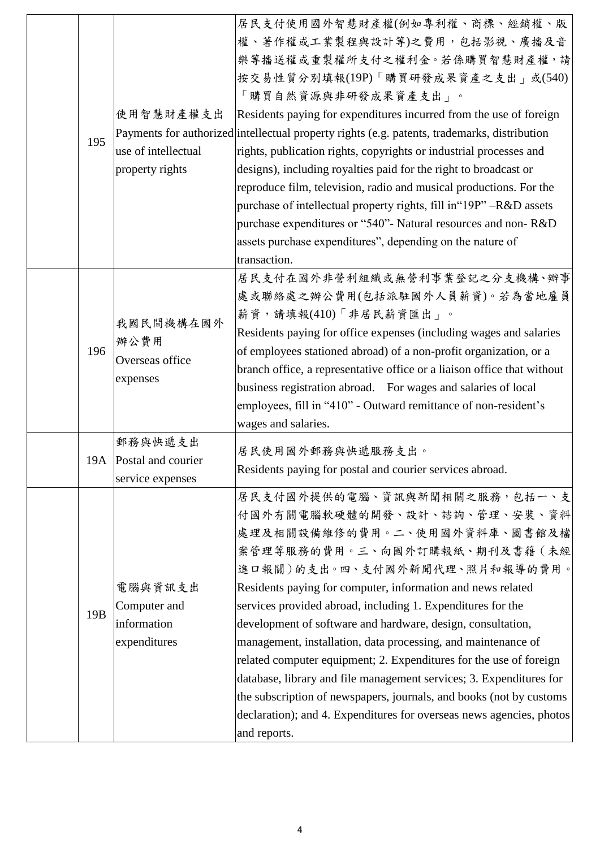| 195             | 使用智慧財產權支出<br>use of intellectual<br>property rights    | 居民支付使用國外智慧財產權(例如專利權、商標、經銷權、版<br>權、著作權或工業製程與設計等)之費用,包括影視、廣播及音<br>樂等播送權或重製權所支付之權利金。若係購買智慧財產權,請<br>按交易性質分別填報(19P)「購買研發成果資產之支出」或(540)<br>「購買自然資源與非研發成果資產支出」。<br>Residents paying for expenditures incurred from the use of foreign<br>Payments for authorized intellectual property rights (e.g. patents, trademarks, distribution<br>rights, publication rights, copyrights or industrial processes and<br>designs), including royalties paid for the right to broadcast or<br>reproduce film, television, radio and musical productions. For the<br>purchase of intellectual property rights, fill in "19P" -R&D assets<br>purchase expenditures or "540"- Natural resources and non-R&D<br>assets purchase expenditures", depending on the nature of |
|-----------------|--------------------------------------------------------|-----------------------------------------------------------------------------------------------------------------------------------------------------------------------------------------------------------------------------------------------------------------------------------------------------------------------------------------------------------------------------------------------------------------------------------------------------------------------------------------------------------------------------------------------------------------------------------------------------------------------------------------------------------------------------------------------------------------------------------------------------|
|                 |                                                        | transaction.<br>居民支付在國外非營利組織或無營利事業登記之分支機構、辦事                                                                                                                                                                                                                                                                                                                                                                                                                                                                                                                                                                                                                                                                                                        |
| 196             | 我國民間機構在國外<br>辦公費用<br>Overseas office<br>expenses       | 處或聯絡處之辦公費用(包括派駐國外人員薪資)。若為當地雇員<br>薪資,請填報(410)「非居民薪資匯出」。<br>Residents paying for office expenses (including wages and salaries<br>of employees stationed abroad) of a non-profit organization, or a<br>branch office, a representative office or a liaison office that without<br>business registration abroad. For wages and salaries of local<br>employees, fill in "410" - Outward remittance of non-resident's<br>wages and salaries.                                                                                                                                                                                                                                                                                                             |
|                 | 郵務與快遞支出<br>19A Postal and courier<br>service expenses  | 居民使用國外郵務與快遞服務支出。<br>Residents paying for postal and courier services abroad.                                                                                                                                                                                                                                                                                                                                                                                                                                                                                                                                                                                                                                                                        |
| 19 <sub>B</sub> | 電腦與資訊支出<br>Computer and<br>information<br>expenditures | 居民支付國外提供的電腦、資訊與新聞相關之服務,包括一、支<br>付國外有關電腦軟硬體的開發、設計、諮詢、管理、安裝、資料<br>處理及相關設備維修的費用。二、使用國外資料庫、圖書館及檔<br>案管理等服務的費用。三、向國外訂購報紙、期刊及書籍 (未經<br>進口報關)的支出。四、支付國外新聞代理、照片和報導的費用。<br>Residents paying for computer, information and news related<br>services provided abroad, including 1. Expenditures for the<br>development of software and hardware, design, consultation,<br>management, installation, data processing, and maintenance of<br>related computer equipment; 2. Expenditures for the use of foreign<br>database, library and file management services; 3. Expenditures for<br>the subscription of newspapers, journals, and books (not by customs<br>declaration); and 4. Expenditures for overseas news agencies, photos<br>and reports.            |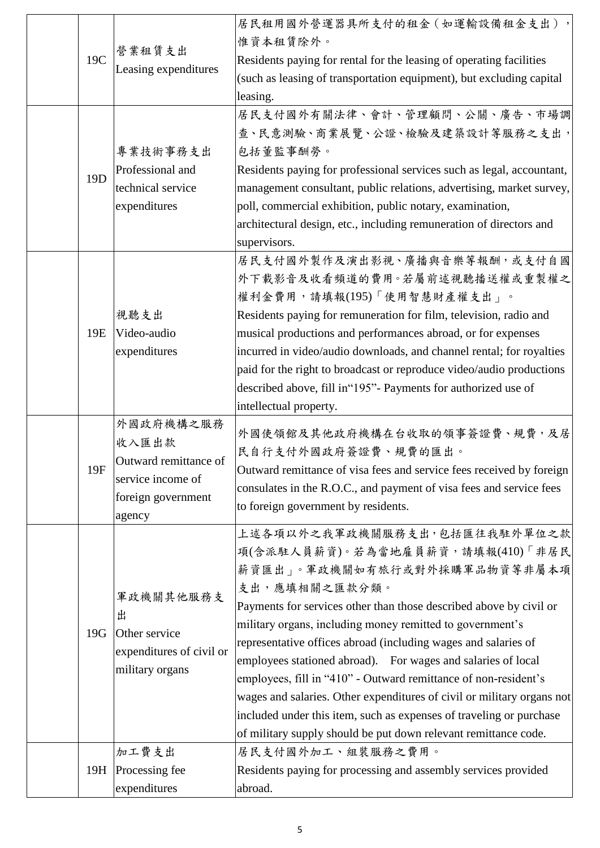| 19C             | 營業租賃支出<br>Leasing expenditures                                                                   | 居民租用國外營運器具所支付的租金 (如運輸設備租金支出),<br>惟資本租賃除外。<br>Residents paying for rental for the leasing of operating facilities<br>(such as leasing of transportation equipment), but excluding capital<br>leasing.                                                                                                                                                                                                                                                                                                                                                                                                                                                                          |
|-----------------|--------------------------------------------------------------------------------------------------|-------------------------------------------------------------------------------------------------------------------------------------------------------------------------------------------------------------------------------------------------------------------------------------------------------------------------------------------------------------------------------------------------------------------------------------------------------------------------------------------------------------------------------------------------------------------------------------------------------------------------------------------------------------------------------|
| 19 <sub>D</sub> | 專業技術事務支出<br>Professional and<br>technical service<br>expenditures                                | 居民支付國外有關法律、會計、管理顧問、公關、廣告、市場調<br>查、民意測驗、商業展覽、公證、檢驗及建築設計等服務之支出,<br>包括董監事酬勞。<br>Residents paying for professional services such as legal, accountant,<br>management consultant, public relations, advertising, market survey,<br>poll, commercial exhibition, public notary, examination,<br>architectural design, etc., including remuneration of directors and<br>supervisors.                                                                                                                                                                                                                                                                                                 |
| 19E             | 視聽支出<br>Video-audio<br>expenditures                                                              | 居民支付國外製作及演出影視、廣播與音樂等報酬,或支付自國<br>外下載影音及收看頻道的費用。若屬前述視聽播送權或重製權之<br>權利金費用,請填報(195)「使用智慧財產權支出」。<br>Residents paying for remuneration for film, television, radio and<br>musical productions and performances abroad, or for expenses<br>incurred in video/audio downloads, and channel rental; for royalties<br>paid for the right to broadcast or reproduce video/audio productions<br>described above, fill in "195"- Payments for authorized use of<br>intellectual property.                                                                                                                                                                                                   |
| 19F             | 外國政府機構之服務<br>收入匯出款<br>Outward remittance of<br>service income of<br>foreign government<br>agency | 外國使領館及其他政府機構在台收取的領事簽證費、規費,及居<br>民自行支付外國政府簽證費、規費的匯出。<br>Outward remittance of visa fees and service fees received by foreign<br>consulates in the R.O.C., and payment of visa fees and service fees<br>to foreign government by residents.                                                                                                                                                                                                                                                                                                                                                                                                                                     |
| 19G             | 軍政機關其他服務支<br>出<br>Other service<br>expenditures of civil or<br>military organs                   | 上述各項以外之我軍政機關服務支出,包括匯往我駐外單位之款<br>項(含派駐人員薪資)。若為當地雇員薪資,請填報(410)「非居民<br>薪資匯出」。軍政機關如有旅行或對外採購軍品物資等非屬本項<br>支出,應填相關之匯款分類。<br>Payments for services other than those described above by civil or<br>military organs, including money remitted to government's<br>representative offices abroad (including wages and salaries of<br>employees stationed abroad). For wages and salaries of local<br>employees, fill in "410" - Outward remittance of non-resident's<br>wages and salaries. Other expenditures of civil or military organs not<br>included under this item, such as expenses of traveling or purchase<br>of military supply should be put down relevant remittance code. |
| 19H             | 加工費支出<br>Processing fee<br>expenditures                                                          | 居民支付國外加工、組裝服務之費用。<br>Residents paying for processing and assembly services provided<br>abroad.                                                                                                                                                                                                                                                                                                                                                                                                                                                                                                                                                                                |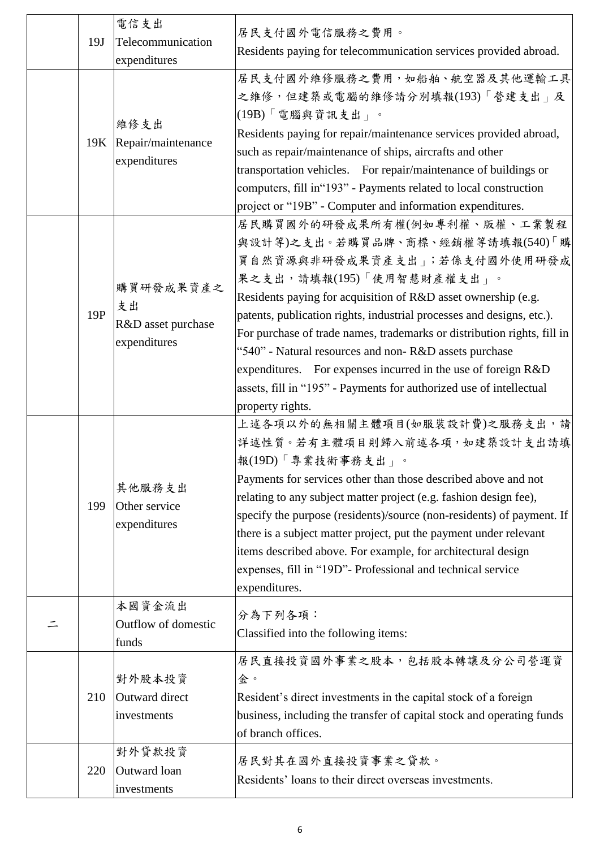| 19J | 電信支出<br>Telecommunication<br>expenditures             | 居民支付國外電信服務之費用。<br>Residents paying for telecommunication services provided abroad.                                                                                                                                                                                                                                                                                                                                                                                                                                                                                      |
|-----|-------------------------------------------------------|-------------------------------------------------------------------------------------------------------------------------------------------------------------------------------------------------------------------------------------------------------------------------------------------------------------------------------------------------------------------------------------------------------------------------------------------------------------------------------------------------------------------------------------------------------------------------|
| 19K | 維修支出<br>Repair/maintenance<br>expenditures            | 居民支付國外維修服務之費用,如船舶、航空器及其他運輸工具<br>之維修,但建築或電腦的維修請分別填報(193)「營建支出」及<br>(19B)「電腦與資訊支出」。<br>Residents paying for repair/maintenance services provided abroad,<br>such as repair/maintenance of ships, aircrafts and other<br>transportation vehicles. For repair/maintenance of buildings or<br>computers, fill in "193" - Payments related to local construction<br>project or "19B" - Computer and information expenditures.                                                                                                                                                 |
| 19P | 購買研發成果資產之<br>支出<br>R&D asset purchase<br>expenditures | 居民購買國外的研發成果所有權(例如專利權、版權、工業製程<br>與設計等)之支出。若購買品牌、商標、經銷權等請填報(540)「購<br>買自然資源與非研發成果資產支出」;若係支付國外使用研發成<br>果之支出,請填報(195)「使用智慧財產權支出」。<br>Residents paying for acquisition of R&D asset ownership (e.g.<br>patents, publication rights, industrial processes and designs, etc.).<br>For purchase of trade names, trademarks or distribution rights, fill in<br>"540" - Natural resources and non-R&D assets purchase<br>expenditures. For expenses incurred in the use of foreign R&D<br>assets, fill in "195" - Payments for authorized use of intellectual<br>property rights. |
| 199 | 其他服務支出<br>Other service<br>expenditures               | 上述各項以外的無相關主體項目(如服裝設計費)之服務支出,請<br>詳述性質。若有主體項目則歸入前述各項, 如建築設計支出請填<br>報(19D)「專業技術事務支出」。<br>Payments for services other than those described above and not<br>relating to any subject matter project (e.g. fashion design fee),<br>specify the purpose (residents)/source (non-residents) of payment. If<br>there is a subject matter project, put the payment under relevant<br>items described above. For example, for architectural design<br>expenses, fill in "19D"- Professional and technical service<br>expenditures.                                                |
|     | 本國資金流出<br>Outflow of domestic<br>funds                | 分為下列各項:<br>Classified into the following items:                                                                                                                                                                                                                                                                                                                                                                                                                                                                                                                         |
| 210 | 對外股本投資<br>Outward direct<br>investments               | 居民直接投資國外事業之股本,包括股本轉讓及分公司營運資<br>金。<br>Resident's direct investments in the capital stock of a foreign<br>business, including the transfer of capital stock and operating funds<br>of branch offices.                                                                                                                                                                                                                                                                                                                                                                     |
| 220 | 對外貸款投資<br>Outward loan<br>investments                 | 居民對其在國外直接投資事業之貸款。<br>Residents' loans to their direct overseas investments.                                                                                                                                                                                                                                                                                                                                                                                                                                                                                             |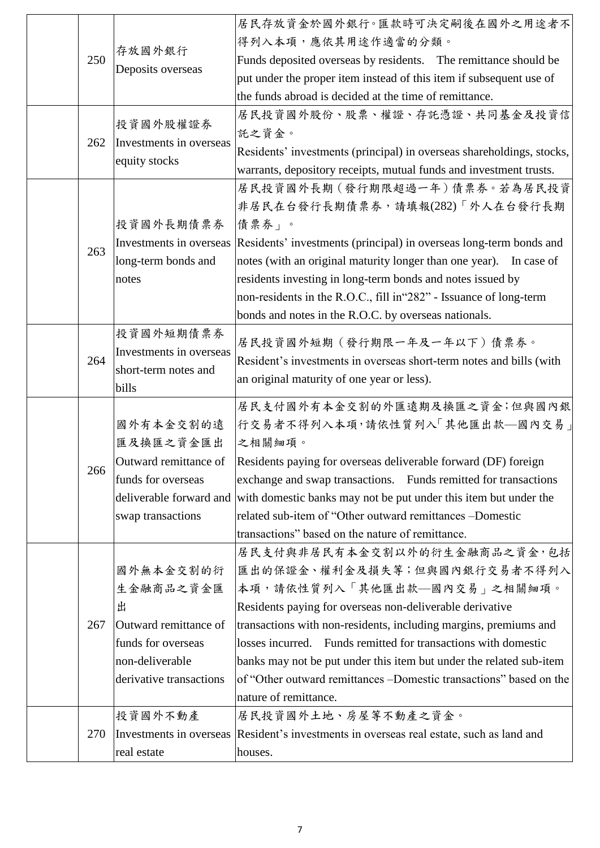|     |                         | 居民存放資金於國外銀行。匯款時可決定嗣後在國外之用途者不                                          |
|-----|-------------------------|-----------------------------------------------------------------------|
|     | 存放國外銀行                  | 得列入本項,應依其用途作適當的分類。                                                    |
| 250 |                         | Funds deposited overseas by residents. The remittance should be       |
|     | Deposits overseas       | put under the proper item instead of this item if subsequent use of   |
|     |                         | the funds abroad is decided at the time of remittance.                |
|     |                         | 居民投資國外股份、股票、權證、存託憑證、共同基金及投資信                                          |
|     | 投資國外股權證券                | 託之資金。                                                                 |
| 262 | Investments in overseas | Residents' investments (principal) in overseas shareholdings, stocks, |
|     | equity stocks           | warrants, depository receipts, mutual funds and investment trusts.    |
|     |                         | 居民投資國外長期 (發行期限超過一年)債票券。若為居民投資                                         |
|     |                         | 非居民在台發行長期債票券,請填報(282)「外人在台發行長期                                        |
|     | 投資國外長期債票券               | 債票券」。                                                                 |
|     | Investments in overseas | Residents' investments (principal) in overseas long-term bonds and    |
| 263 | long-term bonds and     | notes (with an original maturity longer than one year). In case of    |
|     | notes                   | residents investing in long-term bonds and notes issued by            |
|     |                         | non-residents in the R.O.C., fill in "282" - Issuance of long-term    |
|     |                         | bonds and notes in the R.O.C. by overseas nationals.                  |
|     | 投資國外短期債票券               |                                                                       |
| 264 | Investments in overseas | 居民投資國外短期(發行期限一年及一年以下)債票券。                                             |
|     | short-term notes and    | Resident's investments in overseas short-term notes and bills (with   |
|     | bills                   | an original maturity of one year or less).                            |
|     |                         | 居民支付國外有本金交割的外匯遠期及換匯之資金;但與國內銀                                          |
|     | 國外有本金交割的遠               | 行交易者不得列入本項,請依性質列入「其他匯出款––國內交易」                                        |
|     | 匯及換匯之資金匯出               | 之相關細項。                                                                |
| 266 | Outward remittance of   | Residents paying for overseas deliverable forward (DF) foreign        |
|     | funds for overseas      | exchange and swap transactions. Funds remitted for transactions       |
|     | deliverable forward and | with domestic banks may not be put under this item but under the      |
|     | swap transactions       | related sub-item of "Other outward remittances -Domestic              |
|     |                         | transactions" based on the nature of remittance.                      |
|     |                         | 居民支付與非居民有本金交割以外的衍生金融商品之資金,包括                                          |
|     | 國外無本金交割的衍               | 匯出的保證金、權利金及損失等;但與國內銀行交易者不得列入                                          |
|     | 生金融商品之資金匯               | 本項,請依性質列入「其他匯出款––國內交易」之相關細項。                                          |
|     | 出                       | Residents paying for overseas non-deliverable derivative              |
| 267 | Outward remittance of   | transactions with non-residents, including margins, premiums and      |
|     | funds for overseas      | losses incurred. Funds remitted for transactions with domestic        |
|     | non-deliverable         | banks may not be put under this item but under the related sub-item   |
|     | derivative transactions | of "Other outward remittances -Domestic transactions" based on the    |
|     |                         | nature of remittance.                                                 |
|     | 投資國外不動產                 | 居民投資國外土地、房屋等不動產之資金。                                                   |
| 270 | Investments in overseas | Resident's investments in overseas real estate, such as land and      |
|     | real estate             | houses.                                                               |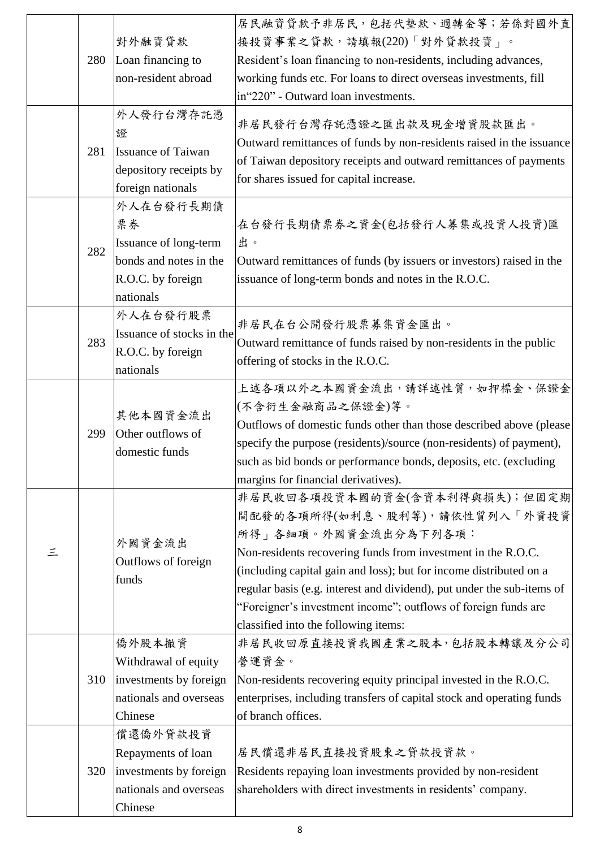|          |     |                                                  | 居民融資貸款予非居民,包括代墊款、週轉金等;若係對國外直                                                                                                |
|----------|-----|--------------------------------------------------|-----------------------------------------------------------------------------------------------------------------------------|
|          |     | 對外融資貸款                                           | 接投資事業之貸款,請填報(220)「對外貸款投資」。                                                                                                  |
|          | 280 | Loan financing to                                | Resident's loan financing to non-residents, including advances,                                                             |
|          |     | non-resident abroad                              | working funds etc. For loans to direct overseas investments, fill                                                           |
|          |     |                                                  | in"220" - Outward loan investments.                                                                                         |
|          |     | 外人發行台灣存託憑                                        |                                                                                                                             |
|          |     |                                                  | 非居民發行台灣存託憑證之匯出款及現金增資股款匯出。                                                                                                   |
|          |     | 證                                                | Outward remittances of funds by non-residents raised in the issuance                                                        |
|          | 281 | <b>Issuance of Taiwan</b>                        | of Taiwan depository receipts and outward remittances of payments                                                           |
|          |     | depository receipts by                           | for shares issued for capital increase.                                                                                     |
|          |     | foreign nationals                                |                                                                                                                             |
|          |     | 外人在台發行長期債                                        |                                                                                                                             |
|          |     | 票券                                               | 在台發行長期債票券之資金(包括發行人募集或投資人投資)匯                                                                                                |
|          | 282 | Issuance of long-term                            | 出。                                                                                                                          |
|          |     | bonds and notes in the                           | Outward remittances of funds (by issuers or investors) raised in the                                                        |
|          |     | R.O.C. by foreign                                | issuance of long-term bonds and notes in the R.O.C.                                                                         |
|          |     | nationals                                        |                                                                                                                             |
|          |     | 外人在台發行股票                                         | 非居民在台公開發行股票募集資金匯出。                                                                                                          |
|          | 283 | Issuance of stocks in the                        | Outward remittance of funds raised by non-residents in the public                                                           |
|          |     | R.O.C. by foreign                                | offering of stocks in the R.O.C.                                                                                            |
|          |     | nationals                                        |                                                                                                                             |
|          |     | 其他本國資金流出<br>Other outflows of<br>domestic funds  | 上述各項以外之本國資金流出,請詳述性質,如押標金、保證金                                                                                                |
|          |     |                                                  | (不含衍生金融商品之保證金)等。                                                                                                            |
|          | 299 |                                                  | Outflows of domestic funds other than those described above (please                                                         |
|          |     |                                                  | specify the purpose (residents)/source (non-residents) of payment),                                                         |
|          |     |                                                  | such as bid bonds or performance bonds, deposits, etc. (excluding                                                           |
|          |     |                                                  | margins for financial derivatives).                                                                                         |
|          |     |                                                  | 非居民收回各項投資本國的資金(含資本利得與損失);但固定期                                                                                               |
|          |     |                                                  | 間配發的各項所得(如利息、股利等),請依性質列入「外資投資                                                                                               |
|          |     |                                                  | 所得」各細項。外國資金流出分為下列各項:                                                                                                        |
| $\equiv$ |     | 外國資金流出                                           | Non-residents recovering funds from investment in the R.O.C.                                                                |
|          |     | Outflows of foreign                              | (including capital gain and loss); but for income distributed on a                                                          |
|          |     | funds                                            | regular basis (e.g. interest and dividend), put under the sub-items of                                                      |
|          |     |                                                  | "Foreigner's investment income"; outflows of foreign funds are                                                              |
|          |     |                                                  | classified into the following items:                                                                                        |
|          |     | 僑外股本撤資                                           | 非居民收回原直接投資我國產業之股本,包括股本轉讓及分公司                                                                                                |
|          |     | Withdrawal of equity                             | 營運資金。                                                                                                                       |
|          | 310 | investments by foreign                           | Non-residents recovering equity principal invested in the R.O.C.                                                            |
|          |     | nationals and overseas                           | enterprises, including transfers of capital stock and operating funds                                                       |
|          |     | Chinese                                          | of branch offices.                                                                                                          |
|          |     | 償還僑外貸款投資                                         |                                                                                                                             |
|          |     |                                                  |                                                                                                                             |
|          |     |                                                  | 居民償還非居民直接投資股東之貸款投資款。                                                                                                        |
|          |     | Repayments of loan                               |                                                                                                                             |
|          | 320 | investments by foreign<br>nationals and overseas | Residents repaying loan investments provided by non-resident<br>shareholders with direct investments in residents' company. |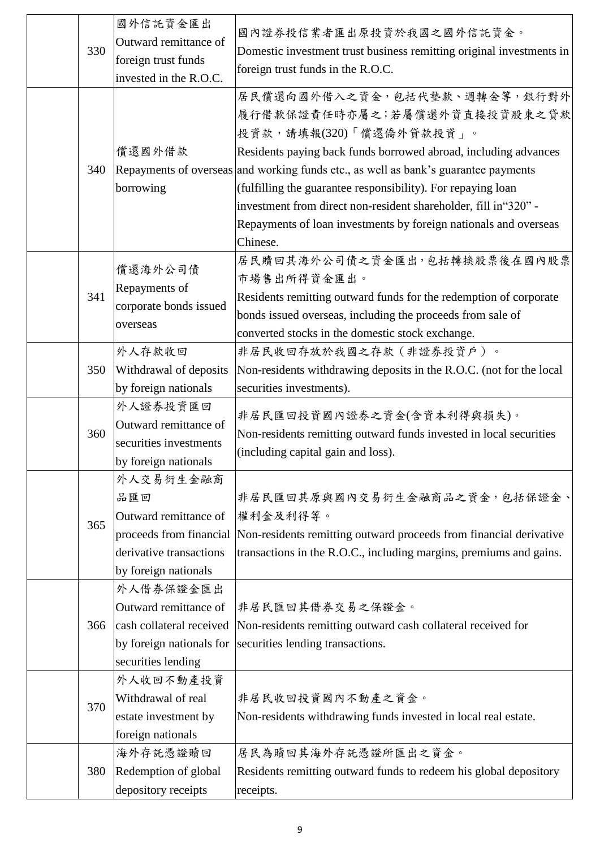| 330<br>340 | 國外信託資金匯出<br>Outward remittance of<br>foreign trust funds<br>invested in the R.O.C.<br>償還國外借款<br>borrowing               | 國內證券投信業者匯出原投資於我國之國外信託資金。<br>Domestic investment trust business remitting original investments in<br>foreign trust funds in the R.O.C.<br>居民償還向國外借入之資金,包括代墊款、週轉金等,銀行對外<br>履行借款保證責任時亦屬之;若屬償還外資直接投資股東之貸款<br>投資款,請填報(320)「償還僑外貸款投資」。<br>Residents paying back funds borrowed abroad, including advances<br>Repayments of overseas and working funds etc., as well as bank's guarantee payments<br>(fulfilling the guarantee responsibility). For repaying loan<br>investment from direct non-resident shareholder, fill in "320" -<br>Repayments of loan investments by foreign nationals and overseas |
|------------|-------------------------------------------------------------------------------------------------------------------------|----------------------------------------------------------------------------------------------------------------------------------------------------------------------------------------------------------------------------------------------------------------------------------------------------------------------------------------------------------------------------------------------------------------------------------------------------------------------------------------------------------------------------------------------------------------------------------------------------|
| 341        | 償還海外公司債<br>Repayments of<br>corporate bonds issued<br>overseas                                                          | Chinese.<br>居民贖回其海外公司債之資金匯出,包括轉換股票後在國內股票<br>市場售出所得資金匯出。<br>Residents remitting outward funds for the redemption of corporate<br>bonds issued overseas, including the proceeds from sale of<br>converted stocks in the domestic stock exchange.                                                                                                                                                                                                                                                                                                                                                     |
| 350        | 外人存款收回<br>Withdrawal of deposits<br>by foreign nationals                                                                | 非居民收回存放於我國之存款(非證券投資戶)。<br>Non-residents withdrawing deposits in the R.O.C. (not for the local<br>securities investments).                                                                                                                                                                                                                                                                                                                                                                                                                                                                          |
| 360        | 外人證券投資匯回<br>Outward remittance of<br>securities investments<br>by foreign nationals                                     | 非居民匯回投資國內證券之資金(含資本利得與損失)。<br>Non-residents remitting outward funds invested in local securities<br>(including capital gain and loss).                                                                                                                                                                                                                                                                                                                                                                                                                                                              |
| 365        | 外人交易衍生金融商<br>品匯回<br>Outward remittance of<br>proceeds from financial<br>derivative transactions<br>by foreign nationals | 非居民匯回其原與國內交易衍生金融商品之資金,包括保證金、<br>權利金及利得等。<br>Non-residents remitting outward proceeds from financial derivative<br>transactions in the R.O.C., including margins, premiums and gains.                                                                                                                                                                                                                                                                                                                                                                                                               |
| 366        | 外人借券保證金匯出<br>Outward remittance of<br>cash collateral received<br>by foreign nationals for<br>securities lending        | 非居民匯回其借券交易之保證金。<br>Non-residents remitting outward cash collateral received for<br>securities lending transactions.                                                                                                                                                                                                                                                                                                                                                                                                                                                                                |
| 370        | 外人收回不動產投資<br>Withdrawal of real<br>estate investment by<br>foreign nationals                                            | 非居民收回投資國內不動產之資金。<br>Non-residents withdrawing funds invested in local real estate.                                                                                                                                                                                                                                                                                                                                                                                                                                                                                                                 |
| 380        | 海外存託憑證贖回<br>Redemption of global<br>depository receipts                                                                 | 居民為贖回其海外存託憑證所匯出之資金。<br>Residents remitting outward funds to redeem his global depository<br>receipts.                                                                                                                                                                                                                                                                                                                                                                                                                                                                                              |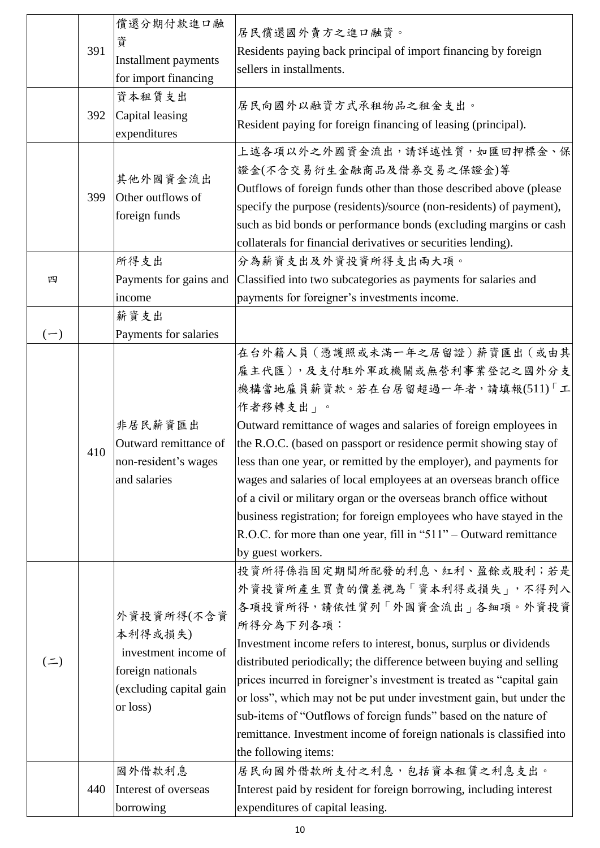|           | 391 | 償還分期付款進口融<br>資<br>Installment payments<br>for import financing                                            | 居民償還國外賣方之進口融資。<br>Residents paying back principal of import financing by foreign<br>sellers in installments.                                                                                                                                                                                                                                                                                                                                                                                                                                                                                                                               |
|-----------|-----|-----------------------------------------------------------------------------------------------------------|--------------------------------------------------------------------------------------------------------------------------------------------------------------------------------------------------------------------------------------------------------------------------------------------------------------------------------------------------------------------------------------------------------------------------------------------------------------------------------------------------------------------------------------------------------------------------------------------------------------------------------------------|
|           | 392 | 資本租賃支出<br>Capital leasing<br>expenditures                                                                 | 居民向國外以融資方式承租物品之租金支出。<br>Resident paying for foreign financing of leasing (principal).                                                                                                                                                                                                                                                                                                                                                                                                                                                                                                                                                      |
|           | 399 | 其他外國資金流出<br>Other outflows of<br>foreign funds                                                            | 上述各項以外之外國資金流出,請詳述性質,如匯回押標金、保<br>證金(不含交易衍生金融商品及借券交易之保證金)等<br>Outflows of foreign funds other than those described above (please<br>specify the purpose (residents)/source (non-residents) of payment),<br>such as bid bonds or performance bonds (excluding margins or cash<br>collaterals for financial derivatives or securities lending).                                                                                                                                                                                                                                                                                                |
| 四         |     | 所得支出<br>Payments for gains and<br>income                                                                  | 分為薪資支出及外資投資所得支出兩大項。<br>Classified into two subcategories as payments for salaries and<br>payments for foreigner's investments income.                                                                                                                                                                                                                                                                                                                                                                                                                                                                                                      |
| $(-)$     |     | 薪資支出<br>Payments for salaries                                                                             |                                                                                                                                                                                                                                                                                                                                                                                                                                                                                                                                                                                                                                            |
|           | 410 | 非居民薪資匯出<br>Outward remittance of<br>non-resident's wages<br>and salaries                                  | 在台外籍人員 (憑護照或未滿一年之居留證) 薪資匯出 (或由其<br>雇主代匯),及支付駐外軍政機關或無營利事業登記之國外分支<br>機構當地雇員薪資款。若在台居留超過一年者,請填報(511)「工<br>作者移轉支出」。<br>Outward remittance of wages and salaries of foreign employees in<br>the R.O.C. (based on passport or residence permit showing stay of<br>less than one year, or remitted by the employer), and payments for<br>wages and salaries of local employees at an overseas branch office<br>of a civil or military organ or the overseas branch office without<br>business registration; for foreign employees who have stayed in the<br>R.O.C. for more than one year, fill in "511" – Outward remittance<br>by guest workers. |
| $($ = $)$ |     | 外資投資所得(不含資<br>本利得或損失)<br>investment income of<br>foreign nationals<br>(excluding capital gain<br>or loss) | 投資所得係指固定期間所配發的利息、紅利、盈餘或股利;若是<br>外資投資所產生買賣的價差視為「資本利得或損失」,不得列入<br>各項投資所得,請依性質列「外國資金流出」各細項。外資投資<br>所得分為下列各項:<br>Investment income refers to interest, bonus, surplus or dividends<br>distributed periodically; the difference between buying and selling<br>prices incurred in foreigner's investment is treated as "capital gain<br>or loss", which may not be put under investment gain, but under the<br>sub-items of "Outflows of foreign funds" based on the nature of<br>remittance. Investment income of foreign nationals is classified into<br>the following items:                                                                  |
|           | 440 | 國外借款利息<br>Interest of overseas<br>borrowing                                                               | 居民向國外借款所支付之利息,包括資本租賃之利息支出。<br>Interest paid by resident for foreign borrowing, including interest<br>expenditures of capital leasing.                                                                                                                                                                                                                                                                                                                                                                                                                                                                                                      |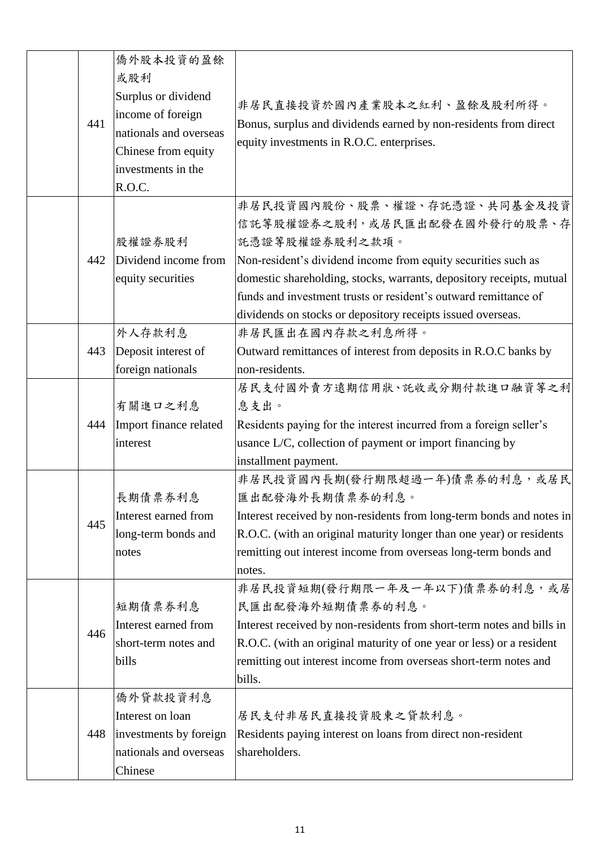|  |         | 僑外股本投資的盈餘              |                                                                       |
|--|---------|------------------------|-----------------------------------------------------------------------|
|  |         | 或股利                    |                                                                       |
|  |         | Surplus or dividend    |                                                                       |
|  |         | income of foreign      | 非居民直接投資於國內產業股本之紅利、盈餘及股利所得。                                            |
|  | 441     | nationals and overseas | Bonus, surplus and dividends earned by non-residents from direct      |
|  |         | Chinese from equity    | equity investments in R.O.C. enterprises.                             |
|  |         | investments in the     |                                                                       |
|  |         | R.O.C.                 |                                                                       |
|  |         |                        | 非居民投資國內股份、股票、權證、存託憑證、共同基金及投資                                          |
|  |         |                        | 信託等股權證券之股利,或居民匯出配發在國外發行的股票、存                                          |
|  |         | 股權證券股利                 | 託憑證等股權證券股利之款項。                                                        |
|  | 442     | Dividend income from   | Non-resident's dividend income from equity securities such as         |
|  |         | equity securities      | domestic shareholding, stocks, warrants, depository receipts, mutual  |
|  |         |                        | funds and investment trusts or resident's outward remittance of       |
|  |         |                        | dividends on stocks or depository receipts issued overseas.           |
|  |         | 外人存款利息                 | 非居民匯出在國內存款之利息所得。                                                      |
|  | 443     | Deposit interest of    | Outward remittances of interest from deposits in R.O.C banks by       |
|  |         | foreign nationals      | non-residents.                                                        |
|  |         |                        | 居民支付國外賣方遠期信用狀、託收或分期付款進口融資等之利                                          |
|  |         | 有關進口之利息                | 息支出。                                                                  |
|  | 444     | Import finance related | Residents paying for the interest incurred from a foreign seller's    |
|  |         | interest               | usance L/C, collection of payment or import financing by              |
|  |         |                        | installment payment.                                                  |
|  |         |                        | 非居民投資國內長期(發行期限超過一年)債票券的利息,或居民                                         |
|  |         | 長期債票券利息                | 匯出配發海外長期債票券的利息。                                                       |
|  | 445     | Interest earned from   | Interest received by non-residents from long-term bonds and notes in  |
|  |         | long-term bonds and    | R.O.C. (with an original maturity longer than one year) or residents  |
|  |         | notes                  | remitting out interest income from overseas long-term bonds and       |
|  |         |                        | notes.                                                                |
|  |         |                        | 非居民投資短期(發行期限一年及一年以下)債票券的利息,或居                                         |
|  |         | 短期債票券利息                | 民匯出配發海外短期債票券的利息。                                                      |
|  | 446     | Interest earned from   | Interest received by non-residents from short-term notes and bills in |
|  |         | short-term notes and   | R.O.C. (with an original maturity of one year or less) or a resident  |
|  |         | bills                  | remitting out interest income from overseas short-term notes and      |
|  |         |                        | bills.                                                                |
|  |         | 僑外貸款投資利息               |                                                                       |
|  |         | Interest on loan       | 居民支付非居民直接投資股東之貸款利息。                                                   |
|  | 448     | investments by foreign | Residents paying interest on loans from direct non-resident           |
|  |         | nationals and overseas | shareholders.                                                         |
|  | Chinese |                        |                                                                       |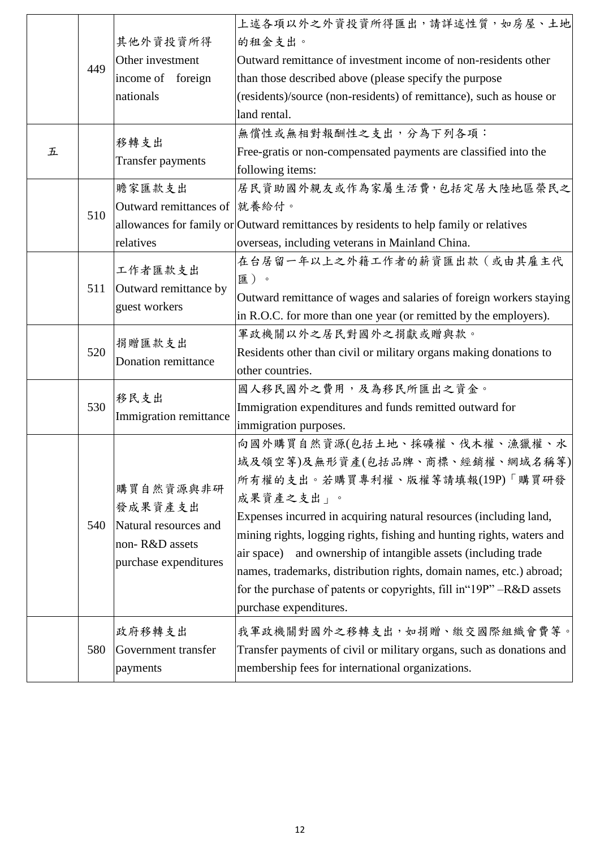|   |     |                                        | 上述各項以外之外資投資所得匯出,請詳述性質,如房屋、土地                                                          |
|---|-----|----------------------------------------|---------------------------------------------------------------------------------------|
|   |     | 其他外資投資所得                               | 的租金支出。                                                                                |
|   |     | Other investment                       | Outward remittance of investment income of non-residents other                        |
|   | 449 | income of foreign                      | than those described above (please specify the purpose                                |
|   |     | nationals                              | (residents)/source (non-residents) of remittance), such as house or                   |
|   |     |                                        | land rental.                                                                          |
|   |     |                                        | 無償性或無相對報酬性之支出,分為下列各項:                                                                 |
| 五 |     | 移轉支出                                   | Free-gratis or non-compensated payments are classified into the                       |
|   |     | <b>Transfer payments</b>               | following items:                                                                      |
|   |     | 贍家匯款支出                                 | 居民資助國外親友或作為家屬生活費,包括定居大陸地區榮民之                                                          |
|   |     | Outward remittances of 就養給付。           |                                                                                       |
|   | 510 |                                        | allowances for family or Outward remittances by residents to help family or relatives |
|   |     | relatives                              | overseas, including veterans in Mainland China.                                       |
|   |     |                                        | 在台居留一年以上之外籍工作者的薪資匯出款(或由其雇主代                                                           |
|   |     | 工作者匯款支出                                | 匯)。                                                                                   |
|   | 511 | Outward remittance by<br>guest workers | Outward remittance of wages and salaries of foreign workers staying                   |
|   |     |                                        | in R.O.C. for more than one year (or remitted by the employers).                      |
|   |     |                                        | 軍政機關以外之居民對國外之捐獻或贈與款。                                                                  |
|   | 520 | 捐贈匯款支出<br>Donation remittance          |                                                                                       |
|   |     |                                        | Residents other than civil or military organs making donations to<br>other countries. |
|   |     |                                        | 國人移民國外之費用,及為移民所匯出之資金。                                                                 |
|   | 530 | 移民支出<br>Immigration remittance         |                                                                                       |
|   |     |                                        | Immigration expenditures and funds remitted outward for                               |
|   |     |                                        | immigration purposes.                                                                 |
|   |     |                                        | 向國外購買自然資源(包括土地、採礦權、伐木權、漁獵權、水                                                          |
|   |     |                                        | 域及領空等)及無形資產(包括品牌、商標、經銷權、網域名稱等)                                                        |
|   |     | 購買自然資源與非研                              | 所有權的支出。若購買專利權、版權等請填報(19P)「購買研發                                                        |
|   |     | 發成果資產支出                                | 成果資產之支出」。                                                                             |
|   | 540 | Natural resources and                  | Expenses incurred in acquiring natural resources (including land,                     |
|   |     | non-R&D assets                         | mining rights, logging rights, fishing and hunting rights, waters and                 |
|   |     | purchase expenditures                  | and ownership of intangible assets (including trade<br>air space)                     |
|   |     |                                        | names, trademarks, distribution rights, domain names, etc.) abroad;                   |
|   |     |                                        | for the purchase of patents or copyrights, fill in "19P" -R&D assets                  |
|   |     |                                        | purchase expenditures.                                                                |
|   |     | 政府移轉支出                                 | 我軍政機關對國外之移轉支出,如捐贈、繳交國際組織會費等。                                                          |
|   | 580 | Government transfer                    | Transfer payments of civil or military organs, such as donations and                  |
|   |     | payments                               | membership fees for international organizations.                                      |
|   |     |                                        |                                                                                       |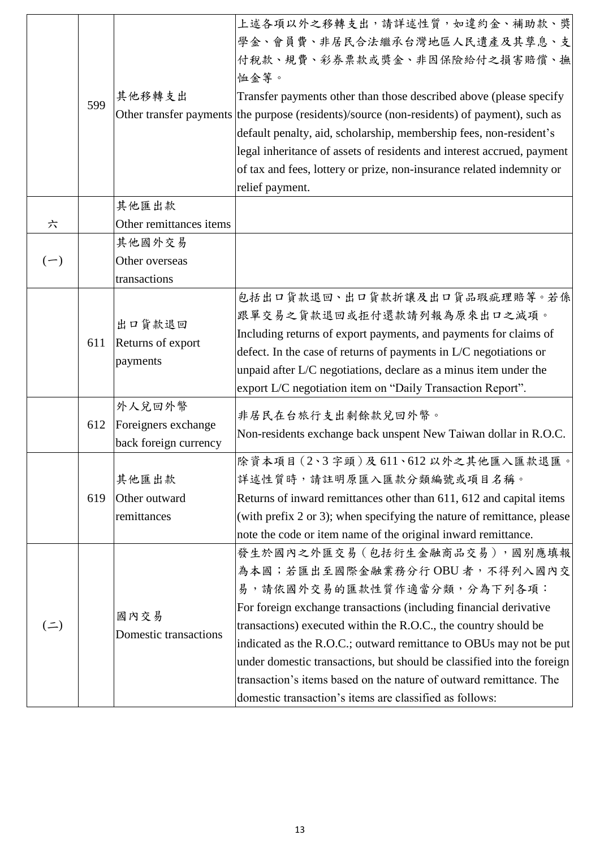|           | 599 | 其他移轉支出                                                 | 上述各項以外之移轉支出,請詳述性質,如違約金、補助款、獎<br>學金、會員費、非居民合法繼承台灣地區人民遺產及其孳息、支<br>付稅款、規費、彩券票款或獎金、非因保險給付之損害賠償、撫<br>恤金等。<br>Transfer payments other than those described above (please specify<br>Other transfer payments the purpose (residents)/source (non-residents) of payment), such as<br>default penalty, aid, scholarship, membership fees, non-resident's<br>legal inheritance of assets of residents and interest accrued, payment<br>of tax and fees, lottery or prize, non-insurance related indemnity or                   |
|-----------|-----|--------------------------------------------------------|----------------------------------------------------------------------------------------------------------------------------------------------------------------------------------------------------------------------------------------------------------------------------------------------------------------------------------------------------------------------------------------------------------------------------------------------------------------------------------------------------------------------|
|           |     |                                                        | relief payment.                                                                                                                                                                                                                                                                                                                                                                                                                                                                                                      |
|           |     | 其他匯出款                                                  |                                                                                                                                                                                                                                                                                                                                                                                                                                                                                                                      |
| 六         |     | Other remittances items                                |                                                                                                                                                                                                                                                                                                                                                                                                                                                                                                                      |
| $(-)$     |     | 其他國外交易<br>Other overseas                               |                                                                                                                                                                                                                                                                                                                                                                                                                                                                                                                      |
|           |     | transactions                                           |                                                                                                                                                                                                                                                                                                                                                                                                                                                                                                                      |
|           | 611 | 出口貨款退回<br>Returns of export<br>payments                | 包括出口貨款退回、出口貨款折讓及出口貨品瑕疵理賠等。若係<br>跟單交易之貨款退回或拒付還款請列報為原來出口之減項。<br>Including returns of export payments, and payments for claims of<br>defect. In the case of returns of payments in $L/C$ negotiations or<br>unpaid after L/C negotiations, declare as a minus item under the<br>export L/C negotiation item on "Daily Transaction Report".                                                                                                                                                                              |
|           | 612 | 外人兌回外幣<br>Foreigners exchange<br>back foreign currency | 非居民在台旅行支出剩餘款兌回外幣。<br>Non-residents exchange back unspent New Taiwan dollar in R.O.C.                                                                                                                                                                                                                                                                                                                                                                                                                                 |
|           | 619 | 其他匯出款<br>Other outward<br>remittances                  | 除資本項目(2、3字頭)及611、612以外之其他匯入匯款退匯。<br>詳述性質時,請註明原匯入匯款分類編號或項目名稱。<br>Returns of inward remittances other than 611, 612 and capital items<br>(with prefix $2$ or $3$ ); when specifying the nature of remittance, please<br>note the code or item name of the original inward remittance.                                                                                                                                                                                                                                  |
| $($ = $)$ |     | 國內交易<br>Domestic transactions                          | 發生於國內之外匯交易 (包括衍生金融商品交易),國別應填報<br>為本國;若匯出至國際金融業務分行OBU者,不得列入國內交<br>易,請依國外交易的匯款性質作適當分類,分為下列各項:<br>For foreign exchange transactions (including financial derivative<br>transactions) executed within the R.O.C., the country should be<br>indicated as the R.O.C.; outward remittance to OBUs may not be put<br>under domestic transactions, but should be classified into the foreign<br>transaction's items based on the nature of outward remittance. The<br>domestic transaction's items are classified as follows: |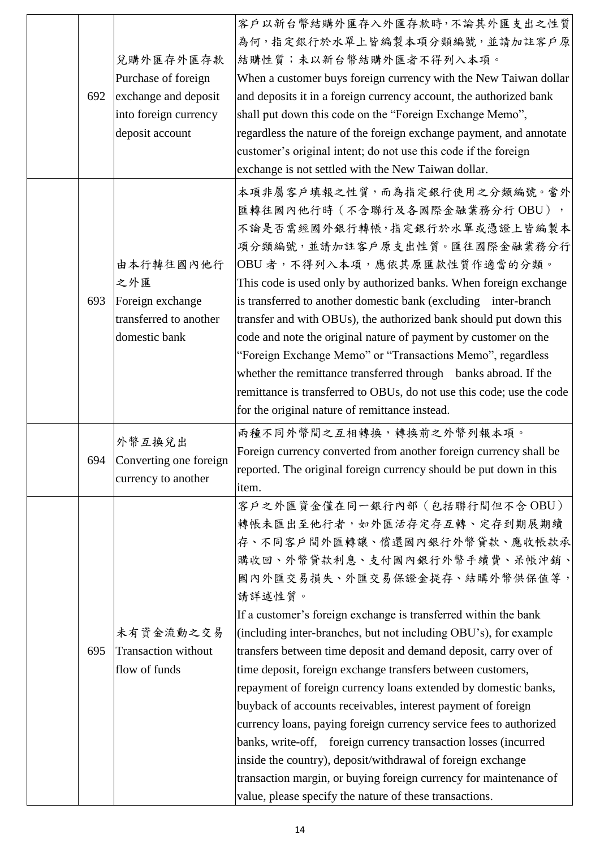| 692 | 兌購外匯存外匯存款<br>Purchase of foreign<br>exchange and deposit<br>into foreign currency<br>deposit account | 客户以新台幣結購外匯存入外匯存款時,不論其外匯支出之性質<br>為何,指定銀行於水單上皆編製本項分類編號,並請加註客戶原<br>結購性質;未以新台幣結購外匯者不得列入本項。<br>When a customer buys foreign currency with the New Taiwan dollar<br>and deposits it in a foreign currency account, the authorized bank<br>shall put down this code on the "Foreign Exchange Memo",<br>regardless the nature of the foreign exchange payment, and annotate<br>customer's original intent; do not use this code if the foreign<br>exchange is not settled with the New Taiwan dollar.                                                                                                                                                                                                                                                                                                                                                                                                                              |
|-----|------------------------------------------------------------------------------------------------------|----------------------------------------------------------------------------------------------------------------------------------------------------------------------------------------------------------------------------------------------------------------------------------------------------------------------------------------------------------------------------------------------------------------------------------------------------------------------------------------------------------------------------------------------------------------------------------------------------------------------------------------------------------------------------------------------------------------------------------------------------------------------------------------------------------------------------------------------------------------------------------------------------------------------------|
| 693 | 由本行轉往國內他行<br>之外匯<br>Foreign exchange<br>transferred to another<br>domestic bank                      | 本項非屬客戶填報之性質,而為指定銀行使用之分類編號。當外<br>匯轉往國內他行時(不含聯行及各國際金融業務分行 OBU),<br>不論是否需經國外銀行轉帳,指定銀行於水單或憑證上皆編製本<br>項分類編號,並請加註客戶原支出性質。匯往國際金融業務分行<br>OBU者,不得列入本項,應依其原匯款性質作適當的分類。<br>This code is used only by authorized banks. When foreign exchange<br>is transferred to another domestic bank (excluding inter-branch<br>transfer and with OBUs), the authorized bank should put down this<br>code and note the original nature of payment by customer on the<br>"Foreign Exchange Memo" or "Transactions Memo", regardless<br>whether the remittance transferred through banks abroad. If the<br>remittance is transferred to OBUs, do not use this code; use the code<br>for the original nature of remittance instead.                                                                                                                                                                                                                   |
|     | 外幣互換兌出<br>694 Converting one foreign<br>currency to another                                          | 兩種不同外幣間之互相轉換,轉換前之外幣列報本項。<br>Foreign currency converted from another foreign currency shall be<br>reported. The original foreign currency should be put down in this<br>item.                                                                                                                                                                                                                                                                                                                                                                                                                                                                                                                                                                                                                                                                                                                                               |
| 695 | 未有資金流動之交易<br><b>Transaction without</b><br>flow of funds                                             | 客戶之外匯資金僅在同一銀行內部(包括聯行間但不含OBU)<br>轉帳未匯出至他行者,如外匯活存定存互轉、定存到期展期續<br>存、不同客戶間外匯轉讓、償還國內銀行外幣貸款、應收帳款承<br>購收回、外幣貸款利息、支付國內銀行外幣手續費、呆帳沖銷、<br>國內外匯交易損失、外匯交易保證金提存、結購外幣供保值等,<br>請詳述性質。<br>If a customer's foreign exchange is transferred within the bank<br>(including inter-branches, but not including OBU's), for example<br>transfers between time deposit and demand deposit, carry over of<br>time deposit, foreign exchange transfers between customers,<br>repayment of foreign currency loans extended by domestic banks,<br>buyback of accounts receivables, interest payment of foreign<br>currency loans, paying foreign currency service fees to authorized<br>banks, write-off, foreign currency transaction losses (incurred<br>inside the country), deposit/withdrawal of foreign exchange<br>transaction margin, or buying foreign currency for maintenance of<br>value, please specify the nature of these transactions. |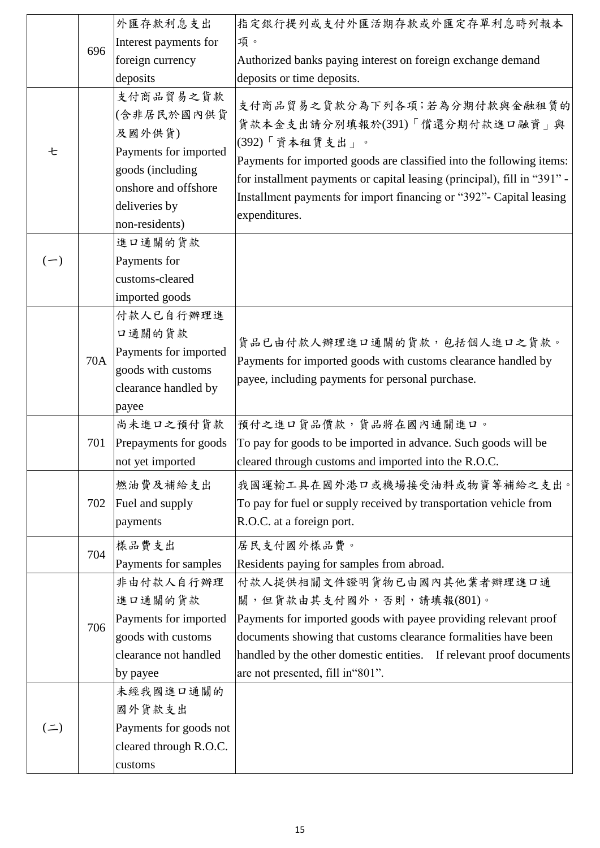|                  |     | 外匯存款利息支出               | 指定銀行提列或支付外匯活期存款或外匯定存單利息時列報本                                                                                                                      |
|------------------|-----|------------------------|--------------------------------------------------------------------------------------------------------------------------------------------------|
|                  | 696 | Interest payments for  | 項。                                                                                                                                               |
|                  |     | foreign currency       | Authorized banks paying interest on foreign exchange demand                                                                                      |
|                  |     | deposits               | deposits or time deposits.                                                                                                                       |
|                  |     | 支付商品貿易之貨款              | 支付商品貿易之貨款分為下列各項;若為分期付款與金融租賃的                                                                                                                     |
|                  |     | (含非居民於國內供貨             | 貨款本金支出請分別填報於(391)「償還分期付款進口融資」與                                                                                                                   |
|                  |     | 及國外供貨)                 | (392)「資本租賃支出」。                                                                                                                                   |
| 七                |     | Payments for imported  |                                                                                                                                                  |
|                  |     | goods (including       | Payments for imported goods are classified into the following items:<br>for installment payments or capital leasing (principal), fill in "391" - |
|                  |     | onshore and offshore   |                                                                                                                                                  |
|                  |     | deliveries by          | Installment payments for import financing or "392"- Capital leasing                                                                              |
|                  |     | non-residents)         | expenditures.                                                                                                                                    |
|                  |     | 進口通關的貨款                |                                                                                                                                                  |
| $(-)$            |     | Payments for           |                                                                                                                                                  |
|                  |     | customs-cleared        |                                                                                                                                                  |
|                  |     | imported goods         |                                                                                                                                                  |
|                  |     | 付款人已自行辦理進              |                                                                                                                                                  |
|                  |     | 口通關的貨款                 | 貨品已由付款人辦理進口通關的貨款,包括個人進口之貨款。                                                                                                                      |
|                  | 70A | Payments for imported  | Payments for imported goods with customs clearance handled by                                                                                    |
|                  |     | goods with customs     | payee, including payments for personal purchase.                                                                                                 |
|                  |     | clearance handled by   |                                                                                                                                                  |
|                  |     | payee                  |                                                                                                                                                  |
|                  |     | 尚未進口之預付貨款              | 預付之進口貨品價款,貨品將在國內通關進口。                                                                                                                            |
|                  | 701 | Prepayments for goods  | To pay for goods to be imported in advance. Such goods will be                                                                                   |
|                  |     | not yet imported       | cleared through customs and imported into the R.O.C.                                                                                             |
|                  |     | 燃油費及補給支出               | 我國運輸工具在國外港口或機場接受油料或物資等補給之支出。                                                                                                                     |
|                  | 702 | Fuel and supply        | To pay for fuel or supply received by transportation vehicle from                                                                                |
|                  |     | payments               | R.O.C. at a foreign port.                                                                                                                        |
|                  |     | 樣品費支出                  | 居民支付國外樣品費。                                                                                                                                       |
|                  | 704 | Payments for samples   | Residents paying for samples from abroad.                                                                                                        |
|                  |     | 非由付款人自行辦理              | 付款人提供相關文件證明貨物已由國內其他業者辦理進口通                                                                                                                       |
|                  |     | 進口通關的貨款                | 關,但貨款由其支付國外,否則,請填報(801)。                                                                                                                         |
|                  |     | Payments for imported  | Payments for imported goods with payee providing relevant proof                                                                                  |
|                  | 706 | goods with customs     | documents showing that customs clearance formalities have been                                                                                   |
|                  |     | clearance not handled  | handled by the other domestic entities. If relevant proof documents                                                                              |
|                  |     | by payee               | are not presented, fill in "801".                                                                                                                |
|                  |     | 未經我國進口通關的              |                                                                                                                                                  |
| $($ $\equiv$ $)$ |     | 國外貨款支出                 |                                                                                                                                                  |
|                  |     | Payments for goods not |                                                                                                                                                  |
|                  |     | cleared through R.O.C. |                                                                                                                                                  |
|                  |     | customs                |                                                                                                                                                  |